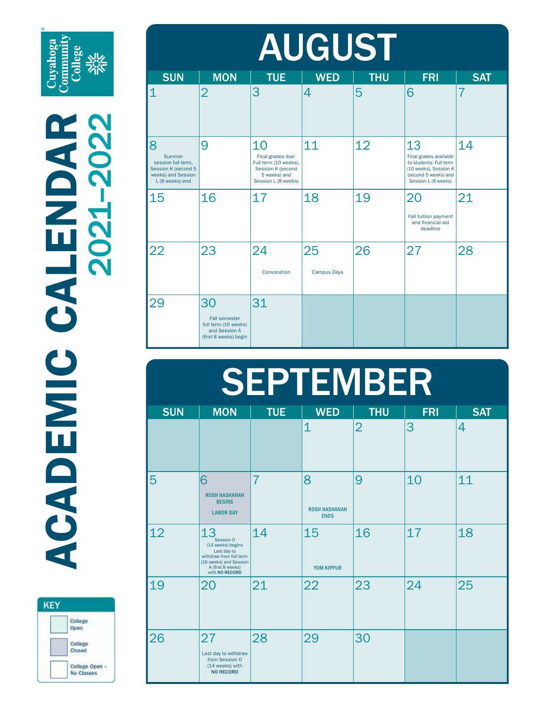Cuyahoga<br>Community<br>College<br>Six

ACADEMIC CALENDAR ACADEMIC CALENDAR 2021–2022

| <b>KEY</b> |                                   |
|------------|-----------------------------------|
|            | College<br>Open                   |
|            | College<br>Closed                 |
|            | <b>College Open</b><br>No Classes |

| <b>AUGUST</b>                                                                                     |                                                                                              |                                                                                                              |                          |            |                                                                                                                                |                |  |
|---------------------------------------------------------------------------------------------------|----------------------------------------------------------------------------------------------|--------------------------------------------------------------------------------------------------------------|--------------------------|------------|--------------------------------------------------------------------------------------------------------------------------------|----------------|--|
| <b>SUN</b>                                                                                        | <b>MON</b>                                                                                   | <b>TUE</b>                                                                                                   | <b>WED</b>               | <b>THU</b> | <b>FRI</b>                                                                                                                     | <b>SAT</b>     |  |
| $\mathbf 1$                                                                                       | $\overline{2}$                                                                               | 3                                                                                                            | 4                        | 5          | 6                                                                                                                              | $\overline{7}$ |  |
| 8<br>Summer<br>session full term,<br>Session K (second 5<br>weeks) and Session<br>L (8 weeks) end | 9                                                                                            | 10<br>Final grades due:<br>Full term (10 weeks),<br>Session K (second<br>5 weeks) and<br>Session L (8 weeks) | 11                       | 12         | 13<br>Final grades available<br>to students: Full term<br>(10 weeks), Session K<br>(second 5 weeks) and<br>Session L (8 weeks) | 14             |  |
| 15                                                                                                | 16                                                                                           | 17                                                                                                           | 18                       | 19         | 20<br>Fall tuition payment<br>and financial aid<br>deadline                                                                    | 21             |  |
| 22                                                                                                | 23                                                                                           | 24<br>Convocation                                                                                            | 25<br><b>Campus Days</b> | 26         | 27                                                                                                                             | 28             |  |
| 29                                                                                                | 30<br><b>Fall semester</b><br>full term (16 weeks)<br>and Session A<br>(first 8 weeks) begin | 31                                                                                                           |                          |            |                                                                                                                                |                |  |

## SEPTEMBER

| <b>SUN</b> | <b>MON</b>                                                                                                                                      | <b>TUE</b> | <b>WED</b>                               | <b>THU</b>     | <b>FRI</b> | <b>SAT</b> |
|------------|-------------------------------------------------------------------------------------------------------------------------------------------------|------------|------------------------------------------|----------------|------------|------------|
|            |                                                                                                                                                 |            | $\mathbf 1$                              | $\overline{2}$ | 3          | 4          |
| 5          | 6<br><b>ROSH HASHANAH</b><br><b>BEGINS</b><br><b>LABOR DAY</b>                                                                                  | 7          | 8<br><b>ROSH HASHANAH</b><br><b>ENDS</b> | 9              | 10         | 11         |
| 12         | 13<br>Session 0<br>(14 weeks) begins<br>Last day to<br>withdraw from full term<br>(16 weeks) and Session<br>A (first 8 weeks)<br>with NO RECORD | 14         | 15<br>YOM KIPPUR                         | 16             | 17         | 18         |
| 19         | 20                                                                                                                                              | 21         | 22                                       | 23             | 24         | 25         |
| 26         | 27<br>Last day to withdraw<br>from Session O<br>(14 weeks) with<br><b>NO RECORD</b>                                                             | 28         | 29                                       | 30             |            |            |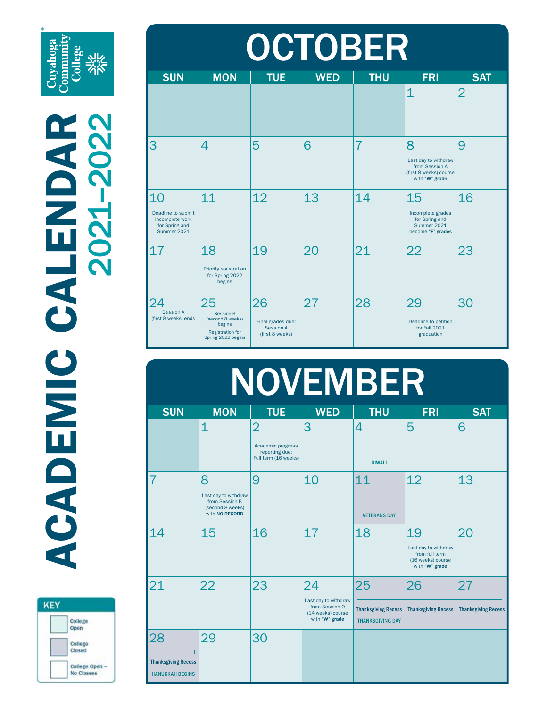Cuyahoga<br>Community<br>College **<u>Nic</u>**<br>**Zijc** 



| <b>OCTOBER</b>                                                               |                                                                                                       |                                                                |            |                |                                                                                         |                |  |
|------------------------------------------------------------------------------|-------------------------------------------------------------------------------------------------------|----------------------------------------------------------------|------------|----------------|-----------------------------------------------------------------------------------------|----------------|--|
| <b>SUN</b>                                                                   | <b>MON</b>                                                                                            | <b>TUE</b>                                                     | <b>WED</b> | <b>THU</b>     | <b>FRI</b>                                                                              | <b>SAT</b>     |  |
|                                                                              |                                                                                                       |                                                                |            |                | $\overline{1}$                                                                          | $\overline{2}$ |  |
| 3                                                                            | 4                                                                                                     | 5                                                              | 6          | $\overline{7}$ | 8<br>Last day to withdraw<br>from Session A<br>(first 8 weeks) course<br>with "W" grade | 9              |  |
| 10<br>Deadline to submit<br>incomplete work<br>for Spring and<br>Summer 2021 | 11                                                                                                    | 12                                                             | 13         | 14             | 15<br>Incomplete grades<br>for Spring and<br>Summer 2021<br>become "F" grades           | 16             |  |
| 17                                                                           | 18<br>Priority registration<br>for Spring 2022<br>begins                                              | 19                                                             | 20         | 21             | 22                                                                                      | 23             |  |
| 24<br><b>Session A</b><br>(first 8 weeks) ends                               | 25<br><b>Session B</b><br>(second 8 weeks)<br>begins<br><b>Registration for</b><br>Spring 2022 begins | 26<br>Final grades due:<br><b>Session A</b><br>(first 8 weeks) | 27         | 28             | 29<br>Deadline to petition<br>for Fall 2021<br>graduation                               | 30             |  |

|                                                            |                                                                                   |                                                                               | <b>NOVEMBER</b>                                                                     |                                                             |                                                                                     |                                  |
|------------------------------------------------------------|-----------------------------------------------------------------------------------|-------------------------------------------------------------------------------|-------------------------------------------------------------------------------------|-------------------------------------------------------------|-------------------------------------------------------------------------------------|----------------------------------|
| <b>SUN</b>                                                 | <b>MON</b>                                                                        | <b>TUE</b>                                                                    | <b>WED</b>                                                                          | <b>THU</b>                                                  | <b>FRI</b>                                                                          | <b>SAT</b>                       |
|                                                            | $\overline{1}$                                                                    | $\overline{2}$<br>Academic progress<br>reporting due:<br>Full term (16 weeks) | 3                                                                                   | 4<br><b>DIWALI</b>                                          | 5                                                                                   | 6                                |
| 7                                                          | 8<br>Last day to withdraw<br>from Session B<br>(second 8 weeks)<br>with NO RECORD | 9                                                                             | 10                                                                                  | 11<br><b>VETERANS DAY</b>                                   | 12                                                                                  | 13                               |
| 14                                                         | 15                                                                                | 16                                                                            | 17                                                                                  | 18                                                          | 19<br>Last day to withdraw<br>from full term<br>(16 weeks) course<br>with "W" grade | 20                               |
| 21                                                         | 22                                                                                | 23                                                                            | 24<br>Last day to withdraw<br>from Session O<br>(14 weeks) course<br>with "W" grade | 25<br><b>Thanksgiving Recess</b><br><b>THANKSGIVING DAY</b> | 26<br><b>Thanksgiving Recess</b>                                                    | 27<br><b>Thanksgiving Recess</b> |
| 28<br><b>Thanksgiving Recess</b><br><b>HANUKKAH BEGINS</b> | 29                                                                                | 30                                                                            |                                                                                     |                                                             |                                                                                     |                                  |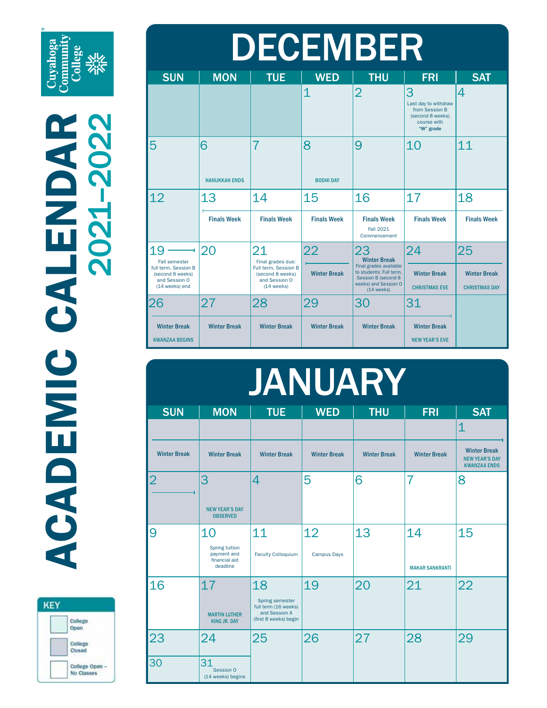Cuyahoga<br>Community<br>College<br>Sixx

| <b>KEY</b> |                              |
|------------|------------------------------|
|            | College<br>Open              |
|            | College<br>Closed            |
|            | College Open -<br>No Classes |

|  | <b>DECEMBER</b>                                                       |  |
|--|-----------------------------------------------------------------------|--|
|  | $MON$ $\parallel$ TUF $\parallel$ WFD $\parallel$ THU $\parallel$ FRI |  |

| <b>SUN</b>                                                                                                | <b>MON</b>                | <b>TUE</b>                                                                                           | <b>WED</b>                | <b>THU</b>                                                                                                                                     | <b>FRI</b>                                                                                  | <b>SAT</b>                                        |
|-----------------------------------------------------------------------------------------------------------|---------------------------|------------------------------------------------------------------------------------------------------|---------------------------|------------------------------------------------------------------------------------------------------------------------------------------------|---------------------------------------------------------------------------------------------|---------------------------------------------------|
|                                                                                                           |                           |                                                                                                      | 1                         | $\overline{2}$                                                                                                                                 | 3<br>Last day to withdraw<br>from Session B<br>(second 8 weeks)<br>course with<br>"W" grade | 4                                                 |
| 5                                                                                                         | 6<br><b>HANUKKAH ENDS</b> | 7                                                                                                    | 8<br><b>BODHI DAY</b>     | 9                                                                                                                                              | 10                                                                                          | 11                                                |
| 12                                                                                                        | 13<br><b>Finals Week</b>  | 14<br><b>Finals Week</b>                                                                             | 15<br><b>Finals Week</b>  | 16<br><b>Finals Week</b><br><b>Fall 2021</b><br>Commencement                                                                                   | 17<br><b>Finals Week</b>                                                                    | 18<br><b>Finals Week</b>                          |
| 19<br><b>Fall semester</b><br>full term, Session B<br>(second 8 weeks)<br>and Session O<br>(14 weeks) end | 20                        | 21<br>Final grades due:<br>Full term, Session B<br>(second 8 weeks)<br>and Session O<br>$(14$ weeks) | 22<br><b>Winter Break</b> | 23<br><b>Winter Break</b><br>Final grades available<br>to students: Full term,<br>Session B (second 8)<br>weeks) and Session O<br>$(14$ weeks) | 24<br><b>Winter Break</b><br><b>CHRISTMAS EVE</b>                                           | 25<br><b>Winter Break</b><br><b>CHRISTMAS DAY</b> |
| 26<br><b>Winter Break</b><br><b>KWANZAA BEGINS</b>                                                        | 27<br><b>Winter Break</b> | 28<br><b>Winter Break</b>                                                                            | 29<br><b>Winter Break</b> | 30<br><b>Winter Break</b>                                                                                                                      | 31<br><b>Winter Break</b><br><b>NEW YEAR'S EVE</b>                                          |                                                   |

| <b>JANUARY</b>      |                                                                   |                                                                                   |                     |                     |                        |                                                                     |  |  |
|---------------------|-------------------------------------------------------------------|-----------------------------------------------------------------------------------|---------------------|---------------------|------------------------|---------------------------------------------------------------------|--|--|
| <b>SUN</b>          | <b>MON</b>                                                        | <b>TUE</b>                                                                        | <b>WED</b>          | <b>THU</b>          | <b>FRI</b>             | <b>SAT</b>                                                          |  |  |
|                     |                                                                   |                                                                                   |                     |                     |                        | $\overline{1}$                                                      |  |  |
| <b>Winter Break</b> | <b>Winter Break</b>                                               | <b>Winter Break</b>                                                               | <b>Winter Break</b> | <b>Winter Break</b> | <b>Winter Break</b>    | <b>Winter Break</b><br><b>NEW YEAR'S DAY</b><br><b>KWANZAA ENDS</b> |  |  |
| $\overline{2}$      | 3                                                                 | 4                                                                                 | 5                   | 6                   | 7                      | 8                                                                   |  |  |
|                     | <b>NEW YEAR'S DAY</b><br><b>OBSERVED</b>                          |                                                                                   |                     |                     |                        |                                                                     |  |  |
| 9                   | 10                                                                | 11                                                                                | 12                  | 13                  | 14                     | 15                                                                  |  |  |
|                     | <b>Spring tuition</b><br>payment and<br>financial aid<br>deadline | <b>Faculty Colloquium</b>                                                         | <b>Campus Days</b>  |                     | <b>MAKAR SANKRANTI</b> |                                                                     |  |  |
| 16                  | 17                                                                | 18                                                                                | 19                  | 20                  | 21                     | 22                                                                  |  |  |
|                     | <b>MARTIN LUTHER</b><br><b>KING JR. DAY</b>                       | Spring semester<br>full term (16 weeks)<br>and Session A<br>(first 8 weeks) begin |                     |                     |                        |                                                                     |  |  |
| 23                  | 24                                                                | 25                                                                                | 26                  | 27                  | 28                     | 29                                                                  |  |  |
| 30                  | 31<br>Session 0<br>(14 weeks) begins                              |                                                                                   |                     |                     |                        |                                                                     |  |  |
|                     |                                                                   |                                                                                   |                     |                     |                        |                                                                     |  |  |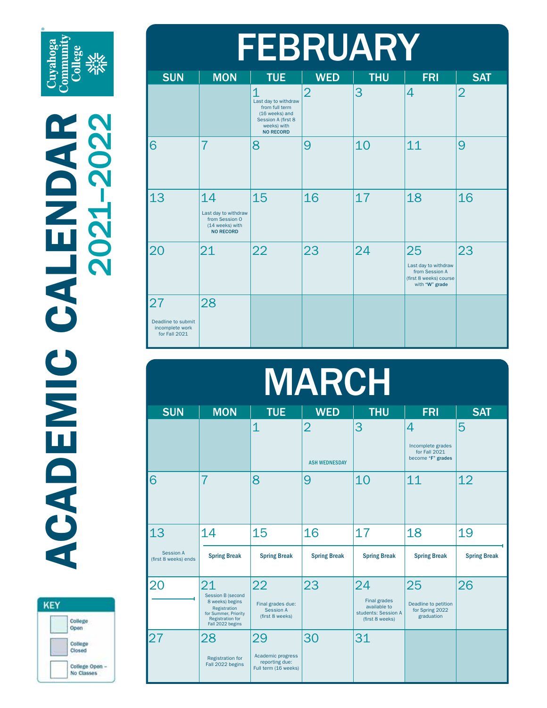Cuyahoga<br>Community<br>College<br>Sikk

| <b>KEY</b> |                            |
|------------|----------------------------|
|            | College<br>Open            |
|            | College<br>Closed<br>ಬಲಲ   |
|            | College Open<br>No Classes |

| <b>FEBRUARY</b>                                              |                                                                                     |                                                                                                                                     |                |            |                                                                                          |                |  |
|--------------------------------------------------------------|-------------------------------------------------------------------------------------|-------------------------------------------------------------------------------------------------------------------------------------|----------------|------------|------------------------------------------------------------------------------------------|----------------|--|
| <b>SUN</b>                                                   | <b>MON</b>                                                                          | <b>TUE</b>                                                                                                                          | <b>WED</b>     | <b>THU</b> | <b>FRI</b>                                                                               | <b>SAT</b>     |  |
|                                                              |                                                                                     | $\overline{1}$<br>Last day to withdraw<br>from full term<br>(16 weeks) and<br>Session A (first 8<br>weeks) with<br><b>NO RECORD</b> | $\overline{2}$ | 3          | 4                                                                                        | $\overline{2}$ |  |
| 6                                                            | $\overline{7}$                                                                      | 8                                                                                                                                   | 9              | 10         | 11                                                                                       | 9              |  |
| 13                                                           | 14<br>Last day to withdraw<br>from Session O<br>(14 weeks) with<br><b>NO RECORD</b> | 15                                                                                                                                  | 16             | 17         | 18                                                                                       | 16             |  |
| 20                                                           | 21                                                                                  | 22                                                                                                                                  | 23             | 24         | 25<br>Last day to withdraw<br>from Session A<br>(first 8 weeks) course<br>with "W" grade | 23             |  |
| 27<br>Deadline to submit<br>incomplete work<br>for Fall 2021 | 28                                                                                  |                                                                                                                                     |                |            |                                                                                          |                |  |

| <b>MARCH</b>                      |                                                                                                                                          |                                                                   |                                        |                                                                                     |                                                              |                     |  |
|-----------------------------------|------------------------------------------------------------------------------------------------------------------------------------------|-------------------------------------------------------------------|----------------------------------------|-------------------------------------------------------------------------------------|--------------------------------------------------------------|---------------------|--|
| <b>SUN</b>                        | <b>MON</b>                                                                                                                               | <b>TUE</b>                                                        | <b>WED</b>                             | <b>THU</b>                                                                          | <b>FRI</b>                                                   | <b>SAT</b>          |  |
|                                   |                                                                                                                                          | $\overline{1}$                                                    | $\overline{2}$<br><b>ASH WEDNESDAY</b> | 3                                                                                   | 4<br>Incomplete grades<br>for Fall 2021<br>become "F" grades | 5                   |  |
| 6                                 | 7                                                                                                                                        | 8                                                                 | 9                                      | 10                                                                                  | 11                                                           | 12                  |  |
| 13                                | 14                                                                                                                                       | 15                                                                | 16                                     | 17                                                                                  | 18                                                           | 19                  |  |
| Session A<br>(first 8 weeks) ends | <b>Spring Break</b>                                                                                                                      | <b>Spring Break</b>                                               | <b>Spring Break</b>                    | <b>Spring Break</b>                                                                 | <b>Spring Break</b>                                          | <b>Spring Break</b> |  |
| 20                                | 21<br><b>Session B (second</b><br>8 weeks) begins<br>Registration<br>for Summer, Priority<br><b>Registration for</b><br>Fall 2022 begins | 22<br>Final grades due:<br><b>Session A</b><br>(first 8 weeks)    | 23                                     | 24<br><b>Final grades</b><br>available to<br>students: Session A<br>(first 8 weeks) | 25<br>Deadline to petition<br>for Spring 2022<br>graduation  | 26                  |  |
| 27                                | 28<br><b>Registration for</b><br>Fall 2022 begins                                                                                        | 29<br>Academic progress<br>reporting due:<br>Full term (16 weeks) | 30                                     | 31                                                                                  |                                                              |                     |  |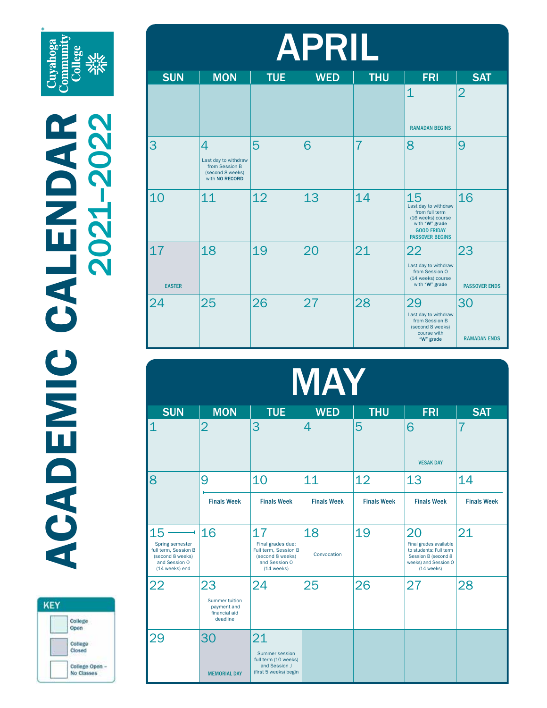Cuyahoga **Communi**<br>College



| <b>APRIL</b>        |                                                                                   |            |            |                |                                                                                                                                     |                            |  |
|---------------------|-----------------------------------------------------------------------------------|------------|------------|----------------|-------------------------------------------------------------------------------------------------------------------------------------|----------------------------|--|
| <b>SUN</b>          | <b>MON</b>                                                                        | <b>TUE</b> | <b>WED</b> | <b>THU</b>     | <b>FRI</b>                                                                                                                          | <b>SAT</b>                 |  |
|                     |                                                                                   |            |            |                | $\overline{1}$<br><b>RAMADAN BEGINS</b>                                                                                             | $\overline{2}$             |  |
| 3                   | 4<br>Last day to withdraw<br>from Session B<br>(second 8 weeks)<br>with NO RECORD | 5          | 6          | $\overline{7}$ | 8                                                                                                                                   | 9                          |  |
| 10                  | 11                                                                                | 12         | 13         | 14             | 15<br>Last day to withdraw<br>from full term<br>(16 weeks) course<br>with "W" grade<br><b>GOOD FRIDAY</b><br><b>PASSOVER BEGINS</b> | 16                         |  |
| 17<br><b>EASTER</b> | 18                                                                                | 19         | 20         | 21             | 22<br>Last day to withdraw<br>from Session O<br>(14 weeks) course<br>with "W" grade                                                 | 23<br><b>PASSOVER ENDS</b> |  |
| 24                  | 25                                                                                | 26         | 27         | 28             | 29<br>Last day to withdraw<br>from Session B<br>(second 8 weeks)<br>course with<br>"W" grade                                        | 30<br><b>RAMADAN ENDS</b>  |  |

| MAY                                                                                                  |                                                                         |                                                                                                      |                    |                    |                                                                                                                       |                    |  |
|------------------------------------------------------------------------------------------------------|-------------------------------------------------------------------------|------------------------------------------------------------------------------------------------------|--------------------|--------------------|-----------------------------------------------------------------------------------------------------------------------|--------------------|--|
| <b>SUN</b>                                                                                           | <b>MON</b>                                                              | <b>TUE</b>                                                                                           | <b>WED</b>         | <b>THU</b>         | <b>FRI</b>                                                                                                            | <b>SAT</b>         |  |
| $\overline{1}$                                                                                       | $\overline{2}$                                                          | 3                                                                                                    | 4                  | 5                  | 6<br><b>VESAK DAY</b>                                                                                                 | $\overline{7}$     |  |
| 8                                                                                                    | 9                                                                       | 10                                                                                                   | 11                 | 12                 | 13                                                                                                                    | 14                 |  |
|                                                                                                      | <b>Finals Week</b>                                                      | <b>Finals Week</b>                                                                                   | <b>Finals Week</b> | <b>Finals Week</b> | <b>Finals Week</b>                                                                                                    | <b>Finals Week</b> |  |
| 15<br>Spring semester<br>full term, Session B<br>(second 8 weeks)<br>and Session O<br>(14 weeks) end | 16                                                                      | 17<br>Final grades due:<br>Full term, Session B<br>(second 8 weeks)<br>and Session O<br>$(14$ weeks) | 18<br>Convocation  | 19                 | 20<br>Final grades available<br>to students: Full term<br>Session B (second 8<br>weeks) and Session O<br>$(14$ weeks) | 21                 |  |
| 22                                                                                                   | 23<br><b>Summer tuition</b><br>payment and<br>financial aid<br>deadline | 24                                                                                                   | 25                 | 26                 | 27                                                                                                                    | 28                 |  |
| 29                                                                                                   | 30<br><b>MEMORIAL DAY</b>                                               | 21<br>Summer session<br>full term (10 weeks)<br>and Session J<br>(first 5 weeks) begin               |                    |                    |                                                                                                                       |                    |  |